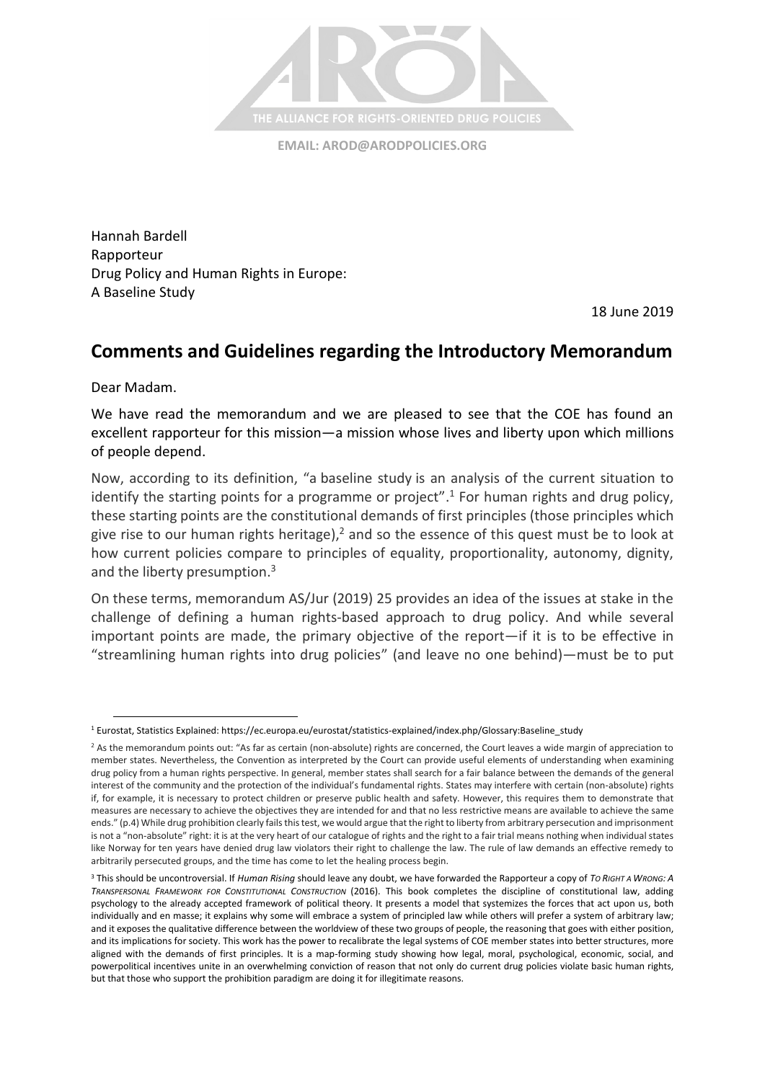

**EMAIL: [AROD@ARODPOLICIES.ORG](mailto:AROD@ARODPOLICIES.ORG)**

Hannah Bardell Rapporteur Drug Policy and Human Rights in Europe: A Baseline Study

18 June 2019

## **Comments and Guidelines regarding the Introductory Memorandum**

Dear Madam.

l

We have read the memorandum and we are pleased to see that the COE has found an excellent rapporteur for this mission—a mission whose lives and liberty upon which millions of people depend.

Now, according to its definition, "a baseline study is an analysis of the current situation to identify the starting points for a programme or project".<sup>1</sup> For human rights and drug policy, these starting points are the constitutional demands of first principles (those principles which give rise to our human rights heritage),<sup>2</sup> and so the essence of this quest must be to look at how current policies compare to principles of equality, proportionality, autonomy, dignity, and the liberty presumption.<sup>3</sup>

On these terms, memorandum AS/Jur (2019) 25 provides an idea of the issues at stake in the challenge of defining a human rights-based approach to drug policy. And while several important points are made, the primary objective of the report—if it is to be effective in "streamlining human rights into drug policies" (and leave no one behind)—must be to put

<sup>1</sup> Eurostat, Statistics Explained: https://ec.europa.eu/eurostat/statistics-explained/index.php/Glossary:Baseline\_study

<sup>&</sup>lt;sup>2</sup> As the memorandum points out: "As far as certain (non-absolute) rights are concerned, the Court leaves a wide margin of appreciation to member states. Nevertheless, the Convention as interpreted by the Court can provide useful elements of understanding when examining drug policy from a human rights perspective. In general, member states shall search for a fair balance between the demands of the general interest of the community and the protection of the individual's fundamental rights. States may interfere with certain (non-absolute) rights if, for example, it is necessary to protect children or preserve public health and safety. However, this requires them to demonstrate that measures are necessary to achieve the objectives they are intended for and that no less restrictive means are available to achieve the same ends." (p.4) While drug prohibition clearly fails this test, we would argue that the right to liberty from arbitrary persecution and imprisonment is not a "non-absolute" right: it is at the very heart of our catalogue of rights and the right to a fair trial means nothing when individual states like Norway for ten years have denied drug law violators their right to challenge the law. The rule of law demands an effective remedy to arbitrarily persecuted groups, and the time has come to let the healing process begin.

<sup>3</sup> This should be uncontroversial. If *Human Rising* should leave any doubt, we have forwarded the Rapporteur a copy of *TO RIGHT A WRONG: A TRANSPERSONAL FRAMEWORK FOR CONSTITUTIONAL CONSTRUCTION* (2016). This book completes the discipline of constitutional law, adding psychology to the already accepted framework of political theory. It presents a model that systemizes the forces that act upon us, both individually and en masse; it explains why some will embrace a system of principled law while others will prefer a system of arbitrary law; and it exposes the qualitative difference between the worldview of these two groups of people, the reasoning that goes with either position, and its implications for society. This work has the power to recalibrate the legal systems of COE member states into better structures, more aligned with the demands of first principles. It is a map-forming study showing how legal, moral, psychological, economic, social, and powerpolitical incentives unite in an overwhelming conviction of reason that not only do current drug policies violate basic human rights. but that those who support the prohibition paradigm are doing it for illegitimate reasons.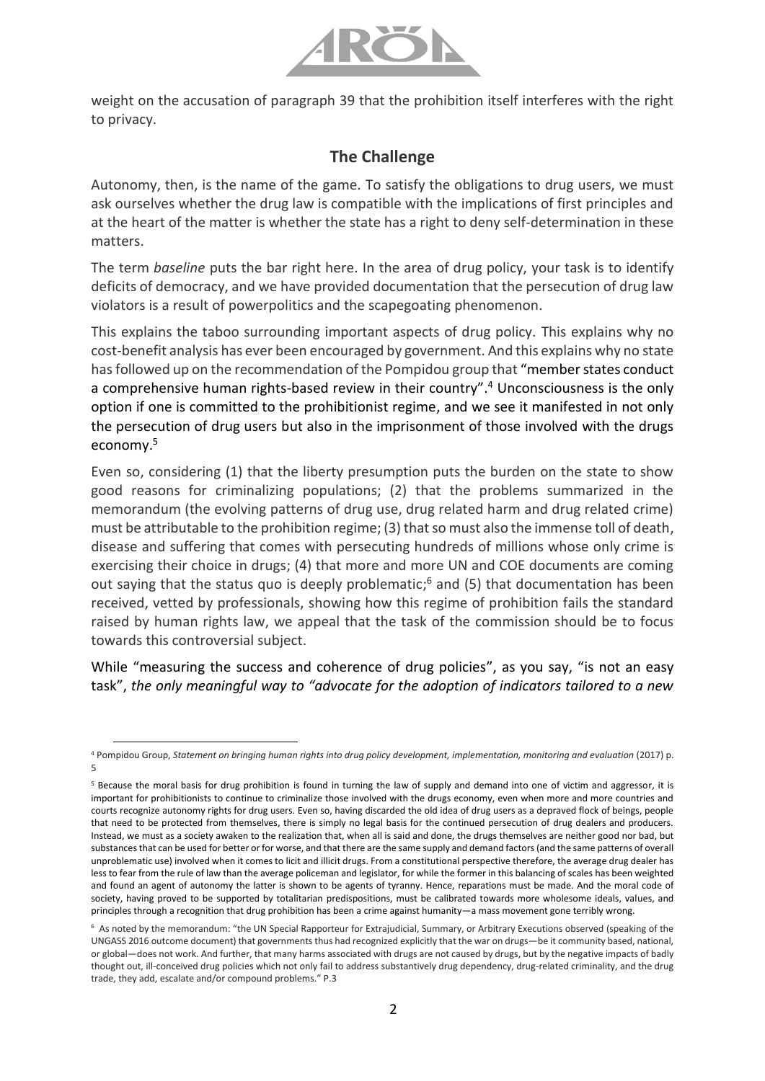

weight on the accusation of paragraph 39 that the prohibition itself interferes with the right to privacy.

## **The Challenge**

Autonomy, then, is the name of the game. To satisfy the obligations to drug users, we must ask ourselves whether the drug law is compatible with the implications of first principles and at the heart of the matter is whether the state has a right to deny self-determination in these matters.

The term *baseline* puts the bar right here. In the area of drug policy, your task is to identify deficits of democracy, and we have provided documentation that the persecution of drug law violators is a result of powerpolitics and the scapegoating phenomenon.

This explains the taboo surrounding important aspects of drug policy. This explains why no cost-benefit analysis has ever been encouraged by government. And this explains why no state has followed up on the recommendation of the Pompidou group that "member states conduct a comprehensive human rights-based review in their country". <sup>4</sup> Unconsciousness is the only option if one is committed to the prohibitionist regime, and we see it manifested in not only the persecution of drug users but also in the imprisonment of those involved with the drugs economy.<sup>5</sup>

Even so, considering (1) that the liberty presumption puts the burden on the state to show good reasons for criminalizing populations; (2) that the problems summarized in the memorandum (the evolving patterns of drug use, drug related harm and drug related crime) must be attributable to the prohibition regime; (3) that so must also the immense toll of death, disease and suffering that comes with persecuting hundreds of millions whose only crime is exercising their choice in drugs; (4) that more and more UN and COE documents are coming out saying that the status quo is deeply problematic;<sup>6</sup> and (5) that documentation has been received, vetted by professionals, showing how this regime of prohibition fails the standard raised by human rights law, we appeal that the task of the commission should be to focus towards this controversial subject.

While "measuring the success and coherence of drug policies", as you say, "is not an easy task", *the only meaningful way to "advocate for the adoption of indicators tailored to a new* 

 $\overline{a}$ 

<sup>4</sup> Pompidou Group, *Statement on bringing human rights into drug policy development, implementation, monitoring and evaluation* (2017) p. 5

<sup>&</sup>lt;sup>5</sup> Because the moral basis for drug prohibition is found in turning the law of supply and demand into one of victim and aggressor, it is important for prohibitionists to continue to criminalize those involved with the drugs economy, even when more and more countries and courts recognize autonomy rights for drug users. Even so, having discarded the old idea of drug users as a depraved flock of beings, people that need to be protected from themselves, there is simply no legal basis for the continued persecution of drug dealers and producers. Instead, we must as a society awaken to the realization that, when all is said and done, the drugs themselves are neither good nor bad, but substances that can be used for better or for worse, and that there are the same supply and demand factors (and the same patterns of overall unproblematic use) involved when it comes to licit and illicit drugs. From a constitutional perspective therefore, the average drug dealer has less to fear from the rule of law than the average policeman and legislator, for while the former in this balancing of scales has been weighted and found an agent of autonomy the latter is shown to be agents of tyranny. Hence, reparations must be made. And the moral code of society, having proved to be supported by totalitarian predispositions, must be calibrated towards more wholesome ideals, values, and principles through a recognition that drug prohibition has been a crime against humanity—a mass movement gone terribly wrong.

<sup>6</sup> As noted by the memorandum: "the UN Special Rapporteur for Extrajudicial, Summary, or Arbitrary Executions observed (speaking of the UNGASS 2016 outcome document) that governments thus had recognized explicitly that the war on drugs—be it community based, national, or global—does not work. And further, that many harms associated with drugs are not caused by drugs, but by the negative impacts of badly thought out, ill-conceived drug policies which not only fail to address substantively drug dependency, drug-related criminality, and the drug trade, they add, escalate and/or compound problems." P.3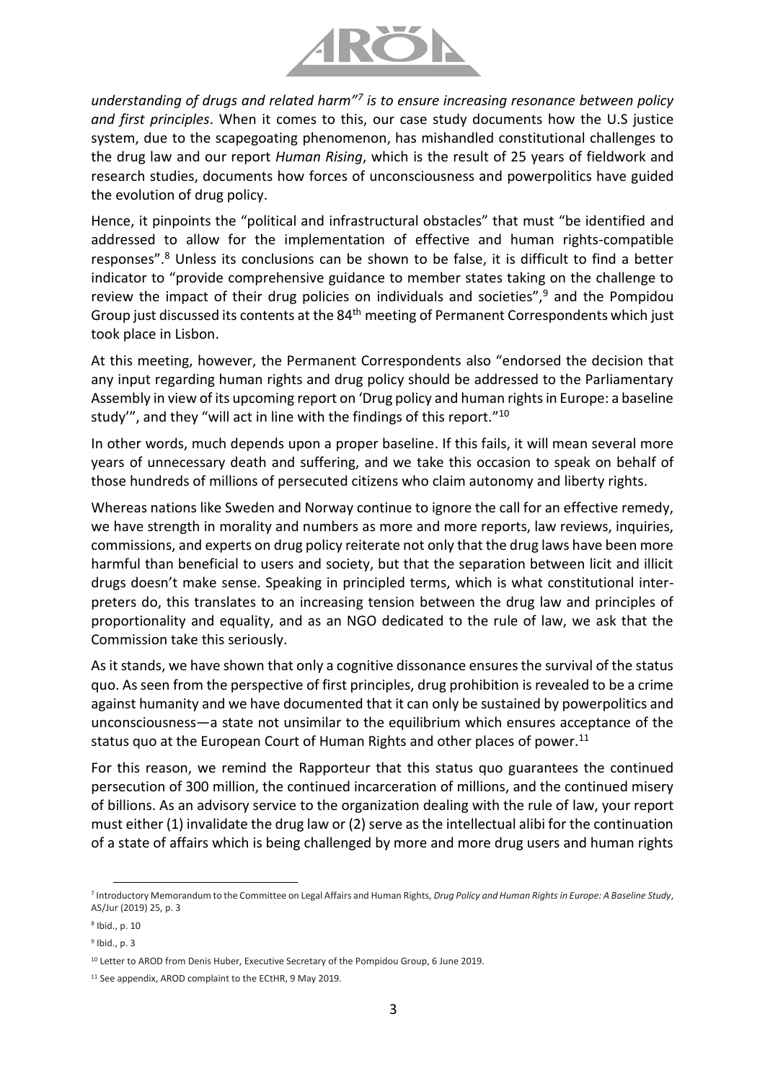

*understanding of drugs and related harm"<sup>7</sup> is to ensure increasing resonance between policy and first principles*. When it comes to this, our case study documents how the U.S justice system, due to the scapegoating phenomenon, has mishandled constitutional challenges to the drug law and our report *Human Rising*, which is the result of 25 years of fieldwork and research studies, documents how forces of unconsciousness and powerpolitics have guided the evolution of drug policy.

Hence, it pinpoints the "political and infrastructural obstacles" that must "be identified and addressed to allow for the implementation of effective and human rights-compatible responses".<sup>8</sup> Unless its conclusions can be shown to be false, it is difficult to find a better indicator to "provide comprehensive guidance to member states taking on the challenge to review the impact of their drug policies on individuals and societies", $9$  and the Pompidou Group just discussed its contents at the 84<sup>th</sup> meeting of Permanent Correspondents which just took place in Lisbon.

At this meeting, however, the Permanent Correspondents also "endorsed the decision that any input regarding human rights and drug policy should be addressed to the Parliamentary Assembly in view of its upcoming report on 'Drug policy and human rights in Europe: a baseline study'", and they "will act in line with the findings of this report."<sup>10</sup>

In other words, much depends upon a proper baseline. If this fails, it will mean several more years of unnecessary death and suffering, and we take this occasion to speak on behalf of those hundreds of millions of persecuted citizens who claim autonomy and liberty rights.

Whereas nations like Sweden and Norway continue to ignore the call for an effective remedy, we have strength in morality and numbers as more and more reports, law reviews, inquiries, commissions, and experts on drug policy reiterate not only that the drug laws have been more harmful than beneficial to users and society, but that the separation between licit and illicit drugs doesn't make sense. Speaking in principled terms, which is what constitutional interpreters do, this translates to an increasing tension between the drug law and principles of proportionality and equality, and as an NGO dedicated to the rule of law, we ask that the Commission take this seriously.

As it stands, we have shown that only a cognitive dissonance ensures the survival of the status quo. As seen from the perspective of first principles, drug prohibition is revealed to be a crime against humanity and we have documented that it can only be sustained by powerpolitics and unconsciousness—a state not unsimilar to the equilibrium which ensures acceptance of the status quo at the European Court of Human Rights and other places of power. 11

For this reason, we remind the Rapporteur that this status quo guarantees the continued persecution of 300 million, the continued incarceration of millions, and the continued misery of billions. As an advisory service to the organization dealing with the rule of law, your report must either (1) invalidate the drug law or (2) serve as the intellectual alibi for the continuation of a state of affairs which is being challenged by more and more drug users and human rights

 $\overline{a}$ 

<sup>7</sup> Introductory Memorandum to the Committee on Legal Affairs and Human Rights, *Drug Policy and Human Rights in Europe: A Baseline Study*, AS/Jur (2019) 25, p. 3

<sup>8</sup> Ibid., p. 10

<sup>9</sup> Ibid., p. 3

<sup>&</sup>lt;sup>10</sup> Letter to AROD from Denis Huber, Executive Secretary of the Pompidou Group, 6 June 2019.

<sup>&</sup>lt;sup>11</sup> See appendix, AROD complaint to the ECtHR, 9 May 2019.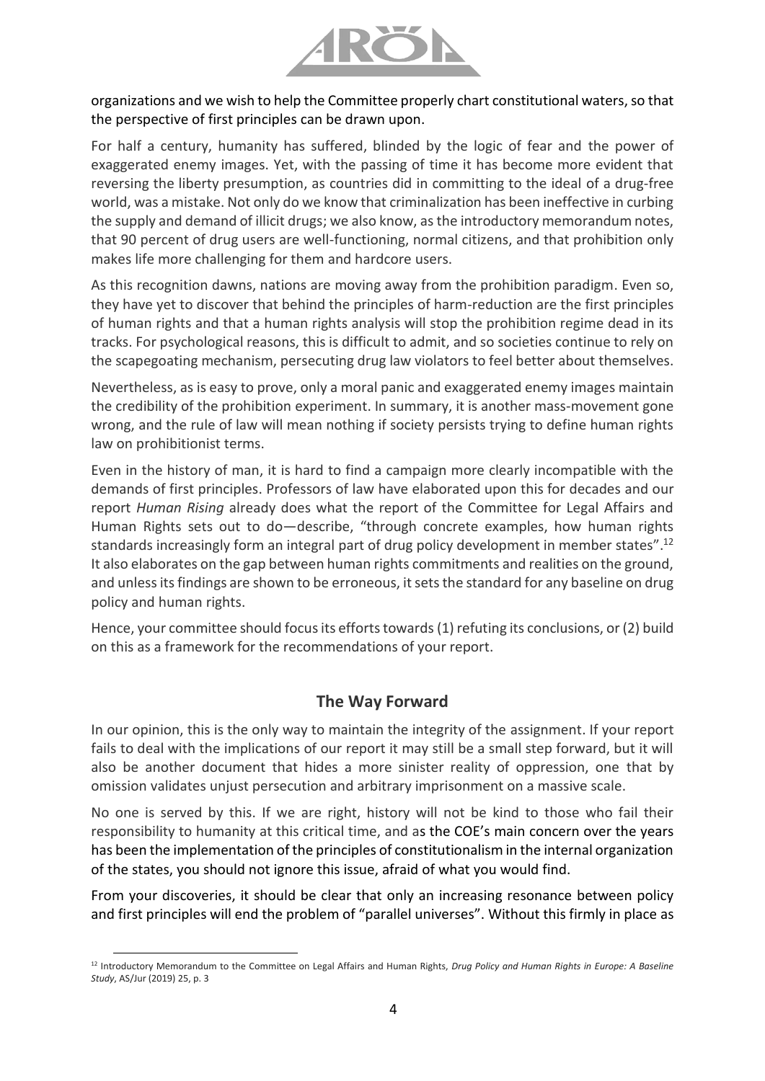

organizations and we wish to help the Committee properly chart constitutional waters, so that the perspective of first principles can be drawn upon.

For half a century, humanity has suffered, blinded by the logic of fear and the power of exaggerated enemy images. Yet, with the passing of time it has become more evident that reversing the liberty presumption, as countries did in committing to the ideal of a drug-free world, was a mistake. Not only do we know that criminalization has been ineffective in curbing the supply and demand of illicit drugs; we also know, as the introductory memorandum notes, that 90 percent of drug users are well-functioning, normal citizens, and that prohibition only makes life more challenging for them and hardcore users.

As this recognition dawns, nations are moving away from the prohibition paradigm. Even so, they have yet to discover that behind the principles of harm-reduction are the first principles of human rights and that a human rights analysis will stop the prohibition regime dead in its tracks. For psychological reasons, this is difficult to admit, and so societies continue to rely on the scapegoating mechanism, persecuting drug law violators to feel better about themselves.

Nevertheless, as is easy to prove, only a moral panic and exaggerated enemy images maintain the credibility of the prohibition experiment. In summary, it is another mass-movement gone wrong, and the rule of law will mean nothing if society persists trying to define human rights law on prohibitionist terms.

Even in the history of man, it is hard to find a campaign more clearly incompatible with the demands of first principles. Professors of law have elaborated upon this for decades and our report *Human Rising* already does what the report of the Committee for Legal Affairs and Human Rights sets out to do—describe, "through concrete examples, how human rights standards increasingly form an integral part of drug policy development in member states".<sup>12</sup> It also elaborates on the gap between human rights commitments and realities on the ground, and unless its findings are shown to be erroneous, it sets the standard for any baseline on drug policy and human rights.

Hence, your committee should focus its efforts towards(1) refuting its conclusions, or (2) build on this as a framework for the recommendations of your report.

## **The Way Forward**

In our opinion, this is the only way to maintain the integrity of the assignment. If your report fails to deal with the implications of our report it may still be a small step forward, but it will also be another document that hides a more sinister reality of oppression, one that by omission validates unjust persecution and arbitrary imprisonment on a massive scale.

No one is served by this. If we are right, history will not be kind to those who fail their responsibility to humanity at this critical time, and as the COE's main concern over the years has been the implementation of the principles of constitutionalism in the internal organization of the states, you should not ignore this issue, afraid of what you would find.

From your discoveries, it should be clear that only an increasing resonance between policy and first principles will end the problem of "parallel universes". Without this firmly in place as

 $\overline{a}$ <sup>12</sup> Introductory Memorandum to the Committee on Legal Affairs and Human Rights, *Drug Policy and Human Rights in Europe: A Baseline Study*, AS/Jur (2019) 25, p. 3